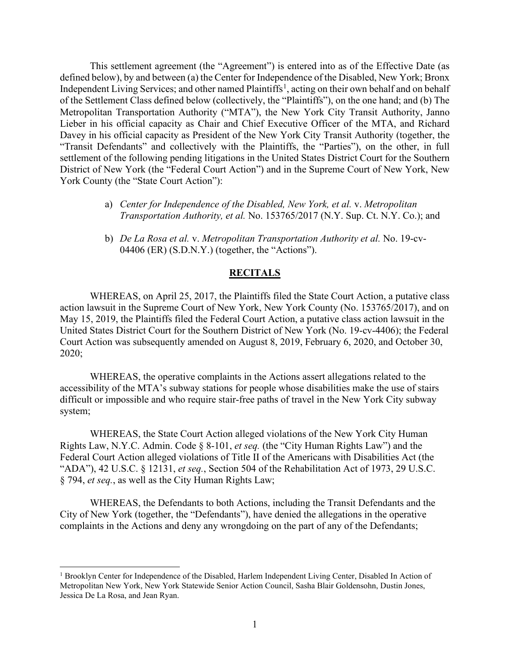This settlement agreement (the "Agreement") is entered into as of the Effective Date (as defined below), by and between (a) the Center for Independence of the Disabled, New York; Bronx Independent Living Services; and other named Plaintiffs<sup>[1](#page-0-0)</sup>, acting on their own behalf and on behalf of the Settlement Class defined below (collectively, the "Plaintiffs"), on the one hand; and (b) The Metropolitan Transportation Authority ("MTA"), the New York City Transit Authority, Janno Lieber in his official capacity as Chair and Chief Executive Officer of the MTA, and Richard Davey in his official capacity as President of the New York City Transit Authority (together, the "Transit Defendants" and collectively with the Plaintiffs, the "Parties"), on the other, in full settlement of the following pending litigations in the United States District Court for the Southern District of New York (the "Federal Court Action") and in the Supreme Court of New York, New York County (the "State Court Action"):

- a) *Center for Independence of the Disabled, New York, et al.* v. *Metropolitan Transportation Authority, et al.* No. 153765/2017 (N.Y. Sup. Ct. N.Y. Co.); and
- b) *De La Rosa et al.* v. *Metropolitan Transportation Authority et al.* No. 19-cv-04406 (ER) (S.D.N.Y.) (together, the "Actions").

#### **RECITALS**

WHEREAS, on April 25, 2017, the Plaintiffs filed the State Court Action, a putative class action lawsuit in the Supreme Court of New York, New York County (No. 153765/2017), and on May 15, 2019, the Plaintiffs filed the Federal Court Action, a putative class action lawsuit in the United States District Court for the Southern District of New York (No. 19-cv-4406); the Federal Court Action was subsequently amended on August 8, 2019, February 6, 2020, and October 30, 2020;

WHEREAS, the operative complaints in the Actions assert allegations related to the accessibility of the MTA's subway stations for people whose disabilities make the use of stairs difficult or impossible and who require stair-free paths of travel in the New York City subway system;

WHEREAS, the State Court Action alleged violations of the New York City Human Rights Law, N.Y.C. Admin. Code § 8-101, *et seq.* (the "City Human Rights Law") and the Federal Court Action alleged violations of Title II of the Americans with Disabilities Act (the "ADA"), 42 U.S.C. § 12131, *et seq.*, Section 504 of the Rehabilitation Act of 1973, 29 U.S.C. § 794, *et seq.*, as well as the City Human Rights Law;

WHEREAS, the Defendants to both Actions, including the Transit Defendants and the City of New York (together, the "Defendants"), have denied the allegations in the operative complaints in the Actions and deny any wrongdoing on the part of any of the Defendants;

<span id="page-0-0"></span><sup>&</sup>lt;sup>1</sup> Brooklyn Center for Independence of the Disabled, Harlem Independent Living Center, Disabled In Action of Metropolitan New York, New York Statewide Senior Action Council, Sasha Blair Goldensohn, Dustin Jones, Jessica De La Rosa, and Jean Ryan.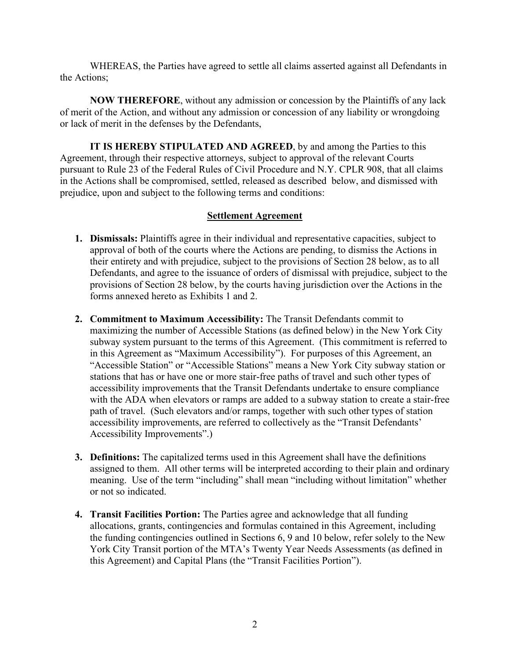WHEREAS, the Parties have agreed to settle all claims asserted against all Defendants in the Actions;

**NOW THEREFORE**, without any admission or concession by the Plaintiffs of any lack of merit of the Action, and without any admission or concession of any liability or wrongdoing or lack of merit in the defenses by the Defendants,

**IT IS HEREBY STIPULATED AND AGREED**, by and among the Parties to this Agreement, through their respective attorneys, subject to approval of the relevant Courts pursuant to Rule 23 of the Federal Rules of Civil Procedure and N.Y. CPLR 908, that all claims in the Actions shall be compromised, settled, released as described below, and dismissed with prejudice, upon and subject to the following terms and conditions:

# **Settlement Agreement**

- **1. Dismissals:** Plaintiffs agree in their individual and representative capacities, subject to approval of both of the courts where the Actions are pending, to dismiss the Actions in their entirety and with prejudice, subject to the provisions of Section 28 below, as to all Defendants, and agree to the issuance of orders of dismissal with prejudice, subject to the provisions of Section 28 below, by the courts having jurisdiction over the Actions in the forms annexed hereto as Exhibits 1 and 2.
- **2. Commitment to Maximum Accessibility:** The Transit Defendants commit to maximizing the number of Accessible Stations (as defined below) in the New York City subway system pursuant to the terms of this Agreement. (This commitment is referred to in this Agreement as "Maximum Accessibility"). For purposes of this Agreement, an "Accessible Station" or "Accessible Stations" means a New York City subway station or stations that has or have one or more stair-free paths of travel and such other types of accessibility improvements that the Transit Defendants undertake to ensure compliance with the ADA when elevators or ramps are added to a subway station to create a stair-free path of travel. (Such elevators and/or ramps, together with such other types of station accessibility improvements, are referred to collectively as the "Transit Defendants' Accessibility Improvements".)
- **3. Definitions:** The capitalized terms used in this Agreement shall have the definitions assigned to them. All other terms will be interpreted according to their plain and ordinary meaning. Use of the term "including" shall mean "including without limitation" whether or not so indicated.
- **4. Transit Facilities Portion:** The Parties agree and acknowledge that all funding allocations, grants, contingencies and formulas contained in this Agreement, including the funding contingencies outlined in Sections 6, 9 and 10 below, refer solely to the New York City Transit portion of the MTA's Twenty Year Needs Assessments (as defined in this Agreement) and Capital Plans (the "Transit Facilities Portion").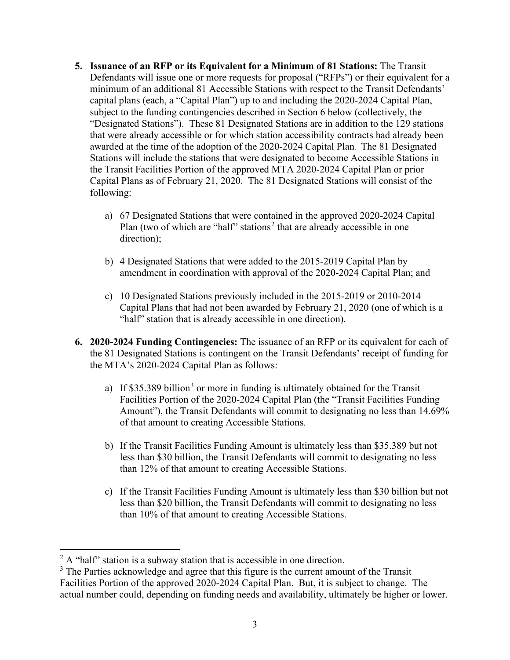- **5. Issuance of an RFP or its Equivalent for a Minimum of 81 Stations:** The Transit Defendants will issue one or more requests for proposal ("RFPs") or their equivalent for a minimum of an additional 81 Accessible Stations with respect to the Transit Defendants' capital plans (each, a "Capital Plan") up to and including the 2020-2024 Capital Plan, subject to the funding contingencies described in Section 6 below (collectively, the "Designated Stations"). These 81 Designated Stations are in addition to the 129 stations that were already accessible or for which station accessibility contracts had already been awarded at the time of the adoption of the 2020-2024 Capital Plan. The 81 Designated Stations will include the stations that were designated to become Accessible Stations in the Transit Facilities Portion of the approved MTA 2020-2024 Capital Plan or prior Capital Plans as of February 21, 2020. The 81 Designated Stations will consist of the following:
	- a) 67 Designated Stations that were contained in the approved 2020-2024 Capital Plan (two of which are "half" stations<sup>[2](#page-2-0)</sup> that are already accessible in one direction);
	- b) 4 Designated Stations that were added to the 2015-2019 Capital Plan by amendment in coordination with approval of the 2020-2024 Capital Plan; and
	- c) 10 Designated Stations previously included in the 2015-2019 or 2010-2014 Capital Plans that had not been awarded by February 21, 2020 (one of which is a "half" station that is already accessible in one direction).
- **6. 2020-2024 Funding Contingencies:** The issuance of an RFP or its equivalent for each of the 81 Designated Stations is contingent on the Transit Defendants' receipt of funding for the MTA's 2020-2024 Capital Plan as follows:
	- a) If \$[3](#page-2-1)5.389 billion<sup>3</sup> or more in funding is ultimately obtained for the Transit Facilities Portion of the 2020-2024 Capital Plan (the "Transit Facilities Funding Amount"), the Transit Defendants will commit to designating no less than 14.69% of that amount to creating Accessible Stations.
	- b) If the Transit Facilities Funding Amount is ultimately less than \$35.389 but not less than \$30 billion, the Transit Defendants will commit to designating no less than 12% of that amount to creating Accessible Stations.
	- c) If the Transit Facilities Funding Amount is ultimately less than \$30 billion but not less than \$20 billion, the Transit Defendants will commit to designating no less than 10% of that amount to creating Accessible Stations.

<span id="page-2-0"></span> $2^2$  A "half" station is a subway station that is accessible in one direction.

<span id="page-2-1"></span><sup>&</sup>lt;sup>3</sup> The Parties acknowledge and agree that this figure is the current amount of the Transit Facilities Portion of the approved 2020-2024 Capital Plan. But, it is subject to change. The actual number could, depending on funding needs and availability, ultimately be higher or lower.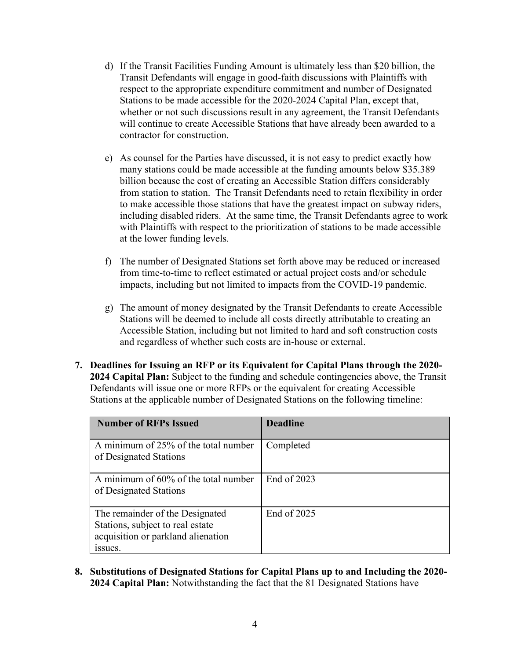- d) If the Transit Facilities Funding Amount is ultimately less than \$20 billion, the Transit Defendants will engage in good-faith discussions with Plaintiffs with respect to the appropriate expenditure commitment and number of Designated Stations to be made accessible for the 2020-2024 Capital Plan, except that, whether or not such discussions result in any agreement, the Transit Defendants will continue to create Accessible Stations that have already been awarded to a contractor for construction.
- e) As counsel for the Parties have discussed, it is not easy to predict exactly how many stations could be made accessible at the funding amounts below \$35.389 billion because the cost of creating an Accessible Station differs considerably from station to station. The Transit Defendants need to retain flexibility in order to make accessible those stations that have the greatest impact on subway riders, including disabled riders. At the same time, the Transit Defendants agree to work with Plaintiffs with respect to the prioritization of stations to be made accessible at the lower funding levels.
- f) The number of Designated Stations set forth above may be reduced or increased from time-to-time to reflect estimated or actual project costs and/or schedule impacts, including but not limited to impacts from the COVID-19 pandemic.
- g) The amount of money designated by the Transit Defendants to create Accessible Stations will be deemed to include all costs directly attributable to creating an Accessible Station, including but not limited to hard and soft construction costs and regardless of whether such costs are in-house or external.
- **7. Deadlines for Issuing an RFP or its Equivalent for Capital Plans through the 2020- 2024 Capital Plan:** Subject to the funding and schedule contingencies above, the Transit Defendants will issue one or more RFPs or the equivalent for creating Accessible Stations at the applicable number of Designated Stations on the following timeline:

| <b>Number of RFPs Issued</b>                                                                                         | <b>Deadline</b> |
|----------------------------------------------------------------------------------------------------------------------|-----------------|
| A minimum of 25% of the total number<br>of Designated Stations                                                       | Completed       |
| A minimum of 60% of the total number<br>of Designated Stations                                                       | End of 2023     |
| The remainder of the Designated<br>Stations, subject to real estate<br>acquisition or parkland alienation<br>issues. | End of 2025     |

**8. Substitutions of Designated Stations for Capital Plans up to and Including the 2020- 2024 Capital Plan:** Notwithstanding the fact that the 81 Designated Stations have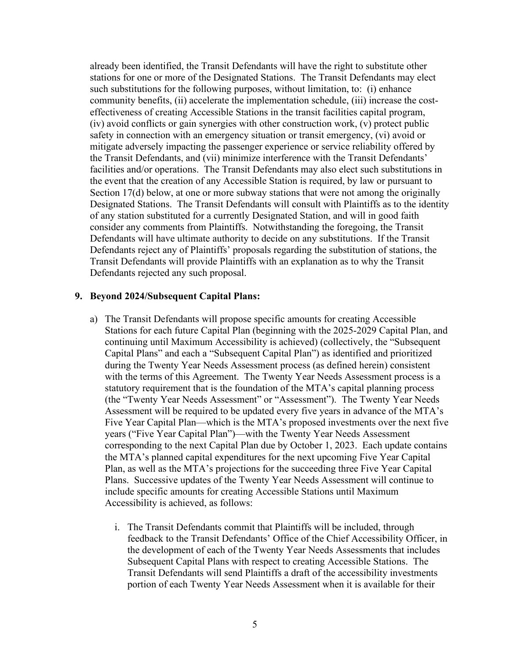already been identified, the Transit Defendants will have the right to substitute other stations for one or more of the Designated Stations. The Transit Defendants may elect such substitutions for the following purposes, without limitation, to: (i) enhance community benefits, (ii) accelerate the implementation schedule, (iii) increase the costeffectiveness of creating Accessible Stations in the transit facilities capital program, (iv) avoid conflicts or gain synergies with other construction work, (v) protect public safety in connection with an emergency situation or transit emergency, (vi) avoid or mitigate adversely impacting the passenger experience or service reliability offered by the Transit Defendants, and (vii) minimize interference with the Transit Defendants' facilities and/or operations. The Transit Defendants may also elect such substitutions in the event that the creation of any Accessible Station is required, by law or pursuant to Section 17(d) below, at one or more subway stations that were not among the originally Designated Stations. The Transit Defendants will consult with Plaintiffs as to the identity of any station substituted for a currently Designated Station, and will in good faith consider any comments from Plaintiffs. Notwithstanding the foregoing, the Transit Defendants will have ultimate authority to decide on any substitutions. If the Transit Defendants reject any of Plaintiffs' proposals regarding the substitution of stations, the Transit Defendants will provide Plaintiffs with an explanation as to why the Transit Defendants rejected any such proposal.

#### **9. Beyond 2024/Subsequent Capital Plans:**

- a) The Transit Defendants will propose specific amounts for creating Accessible Stations for each future Capital Plan (beginning with the 2025-2029 Capital Plan, and continuing until Maximum Accessibility is achieved) (collectively, the "Subsequent Capital Plans" and each a "Subsequent Capital Plan") as identified and prioritized during the Twenty Year Needs Assessment process (as defined herein) consistent with the terms of this Agreement. The Twenty Year Needs Assessment process is a statutory requirement that is the foundation of the MTA's capital planning process (the "Twenty Year Needs Assessment" or "Assessment"). The Twenty Year Needs Assessment will be required to be updated every five years in advance of the MTA's Five Year Capital Plan—which is the MTA's proposed investments over the next five years ("Five Year Capital Plan")—with the Twenty Year Needs Assessment corresponding to the next Capital Plan due by October 1, 2023. Each update contains the MTA's planned capital expenditures for the next upcoming Five Year Capital Plan, as well as the MTA's projections for the succeeding three Five Year Capital Plans. Successive updates of the Twenty Year Needs Assessment will continue to include specific amounts for creating Accessible Stations until Maximum Accessibility is achieved, as follows:
	- i. The Transit Defendants commit that Plaintiffs will be included, through feedback to the Transit Defendants' Office of the Chief Accessibility Officer, in the development of each of the Twenty Year Needs Assessments that includes Subsequent Capital Plans with respect to creating Accessible Stations. The Transit Defendants will send Plaintiffs a draft of the accessibility investments portion of each Twenty Year Needs Assessment when it is available for their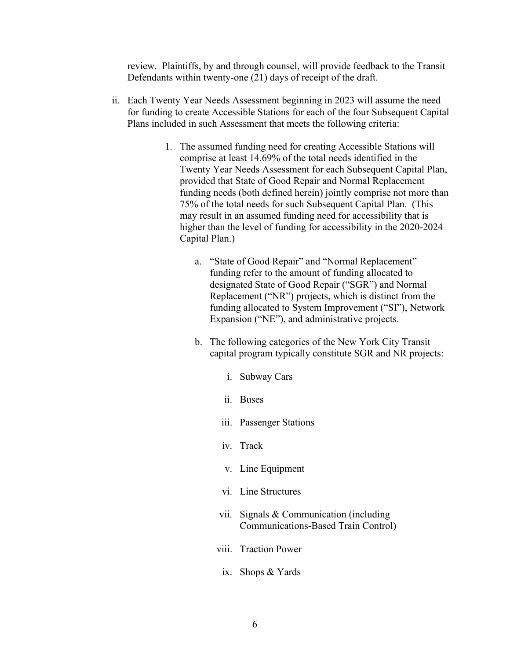review. Plaintiffs, by and through counsel, will provide feedback to the Transit Defendants within twenty-one (21) days of receipt of the draft.

- ii. Each Twenty Year Needs Assessment beginning in 2023 will assume the need for funding to create Accessible Stations for each of the four Subsequent Capital Plans included in such Assessment that meets the following criteria:
	- 1. The assumed funding need for creating Accessible Stations will comprise at least 14.69% of the total needs identified in the Twenty Year Needs Assessment for each Subsequent Capital Plan, provided that State of Good Repair and Normal Replacement funding needs (both defined herein) jointly comprise not more than 75% of the total needs for such Subsequent Capital Plan. (This may result in an assumed funding need for accessibility that is higher than the level of funding for accessibility in the 2020-2024 Capital Plan.)
		- a. "State of Good Repair" and "Normal Replacement" funding refer to the amount of funding allocated to designated State of Good Repair ("SGR") and Normal Replacement ("NR") projects, which is distinct from the funding allocated to System Improvement ("SI"), Network Expansion ("NE"), and administrative projects.
		- b. The following categories of the New York City Transit capital program typically constitute SGR and NR projects:
			- i. Subway Cars
			- ii. Buses
			- iii. Passenger Stations
			- iv. Track
			- v. Line Equipment
			- vi. Line Structures
			- vii. Signals & Communication (including Communications-Based Train Control)
			- viii. Traction Power
				- ix. Shops & Yards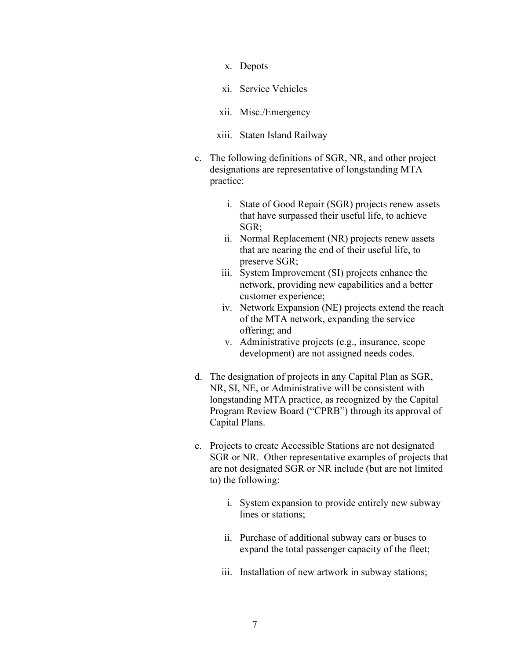- x. Depots
- xi. Service Vehicles
- xii. Misc./Emergency
- xiii. Staten Island Railway
- c. The following definitions of SGR, NR, and other project designations are representative of longstanding MTA practice:
	- i. State of Good Repair (SGR) projects renew assets that have surpassed their useful life, to achieve SGR;
	- ii. Normal Replacement (NR) projects renew assets that are nearing the end of their useful life, to preserve SGR;
	- iii. System Improvement (SI) projects enhance the network, providing new capabilities and a better customer experience;
	- iv. Network Expansion (NE) projects extend the reach of the MTA network, expanding the service offering; and
	- v. Administrative projects (e.g., insurance, scope development) are not assigned needs codes.
- d. The designation of projects in any Capital Plan as SGR, NR, SI, NE, or Administrative will be consistent with longstanding MTA practice, as recognized by the Capital Program Review Board ("CPRB") through its approval of Capital Plans.
- e. Projects to create Accessible Stations are not designated SGR or NR. Other representative examples of projects that are not designated SGR or NR include (but are not limited to) the following:
	- i. System expansion to provide entirely new subway lines or stations;
	- ii. Purchase of additional subway cars or buses to expand the total passenger capacity of the fleet;
	- iii. Installation of new artwork in subway stations;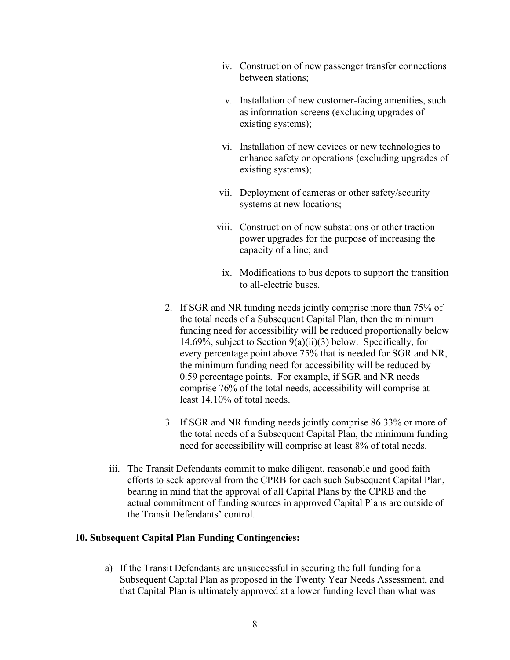- iv. Construction of new passenger transfer connections between stations;
- v. Installation of new customer-facing amenities, such as information screens (excluding upgrades of existing systems);
- vi. Installation of new devices or new technologies to enhance safety or operations (excluding upgrades of existing systems);
- vii. Deployment of cameras or other safety/security systems at new locations;
- viii. Construction of new substations or other traction power upgrades for the purpose of increasing the capacity of a line; and
- ix. Modifications to bus depots to support the transition to all-electric buses.
- 2. If SGR and NR funding needs jointly comprise more than 75% of the total needs of a Subsequent Capital Plan, then the minimum funding need for accessibility will be reduced proportionally below 14.69%, subject to Section 9(a)(ii)(3) below. Specifically, for every percentage point above 75% that is needed for SGR and NR, the minimum funding need for accessibility will be reduced by 0.59 percentage points. For example, if SGR and NR needs comprise 76% of the total needs, accessibility will comprise at least 14.10% of total needs.
- 3. If SGR and NR funding needs jointly comprise 86.33% or more of the total needs of a Subsequent Capital Plan, the minimum funding need for accessibility will comprise at least 8% of total needs.
- iii. The Transit Defendants commit to make diligent, reasonable and good faith efforts to seek approval from the CPRB for each such Subsequent Capital Plan, bearing in mind that the approval of all Capital Plans by the CPRB and the actual commitment of funding sources in approved Capital Plans are outside of the Transit Defendants' control.

### **10. Subsequent Capital Plan Funding Contingencies:**

a) If the Transit Defendants are unsuccessful in securing the full funding for a Subsequent Capital Plan as proposed in the Twenty Year Needs Assessment, and that Capital Plan is ultimately approved at a lower funding level than what was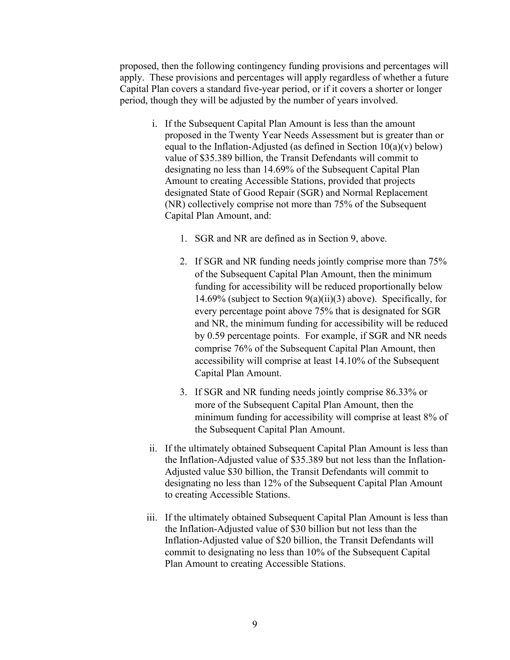proposed, then the following contingency funding provisions and percentages will apply. These provisions and percentages will apply regardless of whether a future Capital Plan covers a standard five-year period, or if it covers a shorter or longer period, though they will be adjusted by the number of years involved.

- i. If the Subsequent Capital Plan Amount is less than the amount proposed in the Twenty Year Needs Assessment but is greater than or equal to the Inflation-Adjusted (as defined in Section  $10(a)(v)$  below) value of \$35.389 billion, the Transit Defendants will commit to designating no less than 14.69% of the Subsequent Capital Plan Amount to creating Accessible Stations, provided that projects designated State of Good Repair (SGR) and Normal Replacement (NR) collectively comprise not more than 75% of the Subsequent Capital Plan Amount, and:
	- 1. SGR and NR are defined as in Section 9, above.
	- 2. If SGR and NR funding needs jointly comprise more than 75% of the Subsequent Capital Plan Amount, then the minimum funding for accessibility will be reduced proportionally below 14.69% (subject to Section  $9(a)(ii)(3)$  above). Specifically, for every percentage point above 75% that is designated for SGR and NR, the minimum funding for accessibility will be reduced by 0.59 percentage points. For example, if SGR and NR needs comprise 76% of the Subsequent Capital Plan Amount, then accessibility will comprise at least 14.10% of the Subsequent Capital Plan Amount.
	- 3. If SGR and NR funding needs jointly comprise 86.33% or more of the Subsequent Capital Plan Amount, then the minimum funding for accessibility will comprise at least 8% of the Subsequent Capital Plan Amount.
- ii. If the ultimately obtained Subsequent Capital Plan Amount is less than the Inflation-Adjusted value of \$35.389 but not less than the Inflation-Adjusted value \$30 billion, the Transit Defendants will commit to designating no less than 12% of the Subsequent Capital Plan Amount to creating Accessible Stations.
- iii. If the ultimately obtained Subsequent Capital Plan Amount is less than the Inflation-Adjusted value of \$30 billion but not less than the Inflation-Adjusted value of \$20 billion, the Transit Defendants will commit to designating no less than 10% of the Subsequent Capital Plan Amount to creating Accessible Stations.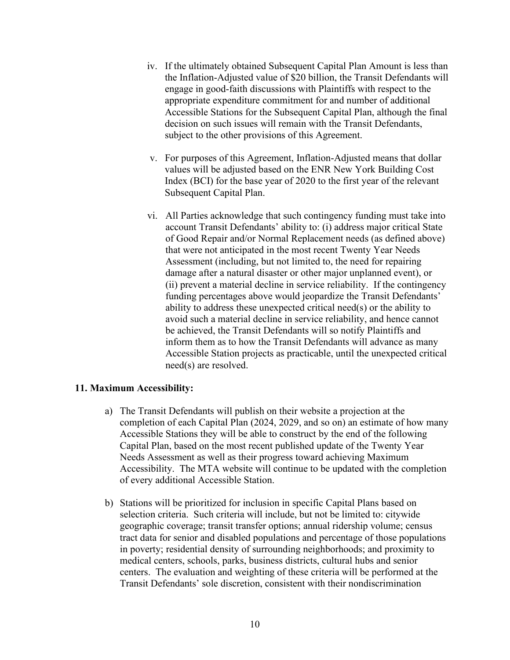- iv. If the ultimately obtained Subsequent Capital Plan Amount is less than the Inflation-Adjusted value of \$20 billion, the Transit Defendants will engage in good-faith discussions with Plaintiffs with respect to the appropriate expenditure commitment for and number of additional Accessible Stations for the Subsequent Capital Plan, although the final decision on such issues will remain with the Transit Defendants, subject to the other provisions of this Agreement.
- v. For purposes of this Agreement, Inflation-Adjusted means that dollar values will be adjusted based on the ENR New York Building Cost Index (BCI) for the base year of 2020 to the first year of the relevant Subsequent Capital Plan.
- vi. All Parties acknowledge that such contingency funding must take into account Transit Defendants' ability to: (i) address major critical State of Good Repair and/or Normal Replacement needs (as defined above) that were not anticipated in the most recent Twenty Year Needs Assessment (including, but not limited to, the need for repairing damage after a natural disaster or other major unplanned event), or (ii) prevent a material decline in service reliability. If the contingency funding percentages above would jeopardize the Transit Defendants' ability to address these unexpected critical need(s) or the ability to avoid such a material decline in service reliability, and hence cannot be achieved, the Transit Defendants will so notify Plaintiffs and inform them as to how the Transit Defendants will advance as many Accessible Station projects as practicable, until the unexpected critical need(s) are resolved.

# **11. Maximum Accessibility:**

- a) The Transit Defendants will publish on their website a projection at the completion of each Capital Plan (2024, 2029, and so on) an estimate of how many Accessible Stations they will be able to construct by the end of the following Capital Plan, based on the most recent published update of the Twenty Year Needs Assessment as well as their progress toward achieving Maximum Accessibility. The MTA website will continue to be updated with the completion of every additional Accessible Station.
- b) Stations will be prioritized for inclusion in specific Capital Plans based on selection criteria. Such criteria will include, but not be limited to: citywide geographic coverage; transit transfer options; annual ridership volume; census tract data for senior and disabled populations and percentage of those populations in poverty; residential density of surrounding neighborhoods; and proximity to medical centers, schools, parks, business districts, cultural hubs and senior centers. The evaluation and weighting of these criteria will be performed at the Transit Defendants' sole discretion, consistent with their nondiscrimination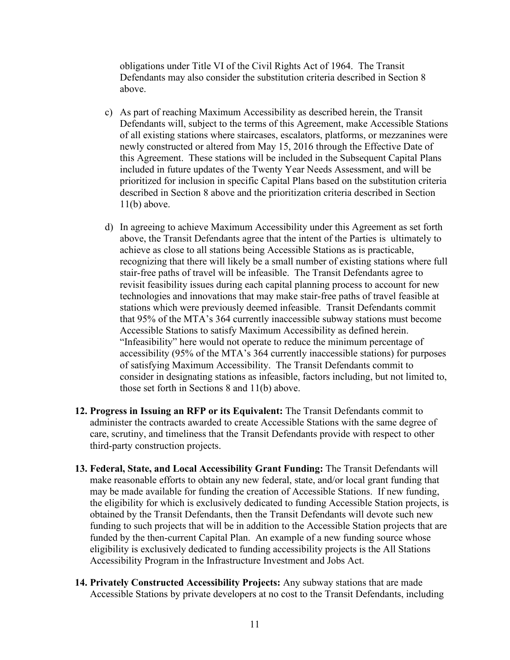obligations under Title VI of the Civil Rights Act of 1964. The Transit Defendants may also consider the substitution criteria described in Section 8 above.

- c) As part of reaching Maximum Accessibility as described herein, the Transit Defendants will, subject to the terms of this Agreement, make Accessible Stations of all existing stations where staircases, escalators, platforms, or mezzanines were newly constructed or altered from May 15, 2016 through the Effective Date of this Agreement. These stations will be included in the Subsequent Capital Plans included in future updates of the Twenty Year Needs Assessment, and will be prioritized for inclusion in specific Capital Plans based on the substitution criteria described in Section 8 above and the prioritization criteria described in Section  $11(b)$  above.
- d) In agreeing to achieve Maximum Accessibility under this Agreement as set forth above, the Transit Defendants agree that the intent of the Parties is ultimately to achieve as close to all stations being Accessible Stations as is practicable, recognizing that there will likely be a small number of existing stations where full stair-free paths of travel will be infeasible. The Transit Defendants agree to revisit feasibility issues during each capital planning process to account for new technologies and innovations that may make stair-free paths of travel feasible at stations which were previously deemed infeasible. Transit Defendants commit that 95% of the MTA's 364 currently inaccessible subway stations must become Accessible Stations to satisfy Maximum Accessibility as defined herein. "Infeasibility" here would not operate to reduce the minimum percentage of accessibility (95% of the MTA's 364 currently inaccessible stations) for purposes of satisfying Maximum Accessibility. The Transit Defendants commit to consider in designating stations as infeasible, factors including, but not limited to, those set forth in Sections 8 and 11(b) above.
- **12. Progress in Issuing an RFP or its Equivalent:** The Transit Defendants commit to administer the contracts awarded to create Accessible Stations with the same degree of care, scrutiny, and timeliness that the Transit Defendants provide with respect to other third-party construction projects.
- **13. Federal, State, and Local Accessibility Grant Funding:** The Transit Defendants will make reasonable efforts to obtain any new federal, state, and/or local grant funding that may be made available for funding the creation of Accessible Stations. If new funding, the eligibility for which is exclusively dedicated to funding Accessible Station projects, is obtained by the Transit Defendants, then the Transit Defendants will devote such new funding to such projects that will be in addition to the Accessible Station projects that are funded by the then-current Capital Plan. An example of a new funding source whose eligibility is exclusively dedicated to funding accessibility projects is the All Stations Accessibility Program in the Infrastructure Investment and Jobs Act.
- **14. Privately Constructed Accessibility Projects:** Any subway stations that are made Accessible Stations by private developers at no cost to the Transit Defendants, including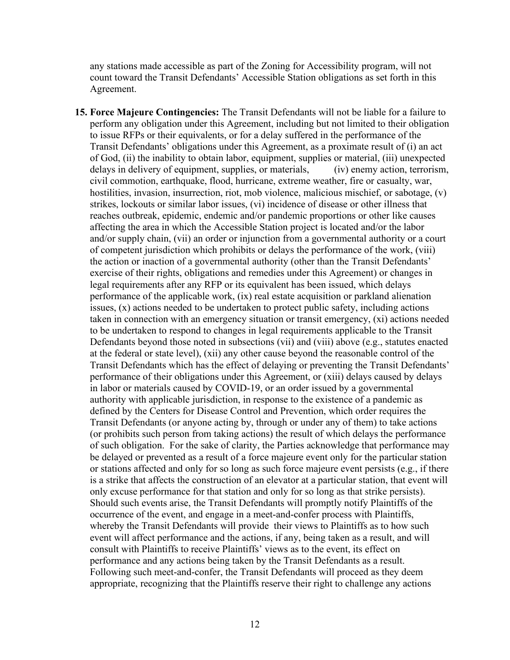any stations made accessible as part of the Zoning for Accessibility program, will not count toward the Transit Defendants' Accessible Station obligations as set forth in this Agreement.

**15. Force Majeure Contingencies:** The Transit Defendants will not be liable for a failure to perform any obligation under this Agreement, including but not limited to their obligation to issue RFPs or their equivalents, or for a delay suffered in the performance of the Transit Defendants' obligations under this Agreement, as a proximate result of (i) an act of God, (ii) the inability to obtain labor, equipment, supplies or material, (iii) unexpected delays in delivery of equipment, supplies, or materials, (iv) enemy action, terrorism, civil commotion, earthquake, flood, hurricane, extreme weather, fire or casualty, war, hostilities, invasion, insurrection, riot, mob violence, malicious mischief, or sabotage, (v) strikes, lockouts or similar labor issues, (vi) incidence of disease or other illness that reaches outbreak, epidemic, endemic and/or pandemic proportions or other like causes affecting the area in which the Accessible Station project is located and/or the labor and/or supply chain, (vii) an order or injunction from a governmental authority or a court of competent jurisdiction which prohibits or delays the performance of the work, (viii) the action or inaction of a governmental authority (other than the Transit Defendants' exercise of their rights, obligations and remedies under this Agreement) or changes in legal requirements after any RFP or its equivalent has been issued, which delays performance of the applicable work, (ix) real estate acquisition or parkland alienation issues, (x) actions needed to be undertaken to protect public safety, including actions taken in connection with an emergency situation or transit emergency, (xi) actions needed to be undertaken to respond to changes in legal requirements applicable to the Transit Defendants beyond those noted in subsections (vii) and (viii) above (e.g., statutes enacted at the federal or state level), (xii) any other cause beyond the reasonable control of the Transit Defendants which has the effect of delaying or preventing the Transit Defendants' performance of their obligations under this Agreement, or (xiii) delays caused by delays in labor or materials caused by COVID-19, or an order issued by a governmental authority with applicable jurisdiction, in response to the existence of a pandemic as defined by the Centers for Disease Control and Prevention, which order requires the Transit Defendants (or anyone acting by, through or under any of them) to take actions (or prohibits such person from taking actions) the result of which delays the performance of such obligation. For the sake of clarity, the Parties acknowledge that performance may be delayed or prevented as a result of a force majeure event only for the particular station or stations affected and only for so long as such force majeure event persists (e.g., if there is a strike that affects the construction of an elevator at a particular station, that event will only excuse performance for that station and only for so long as that strike persists). Should such events arise, the Transit Defendants will promptly notify Plaintiffs of the occurrence of the event, and engage in a meet-and-confer process with Plaintiffs, whereby the Transit Defendants will provide their views to Plaintiffs as to how such event will affect performance and the actions, if any, being taken as a result, and will consult with Plaintiffs to receive Plaintiffs' views as to the event, its effect on performance and any actions being taken by the Transit Defendants as a result. Following such meet-and-confer, the Transit Defendants will proceed as they deem appropriate, recognizing that the Plaintiffs reserve their right to challenge any actions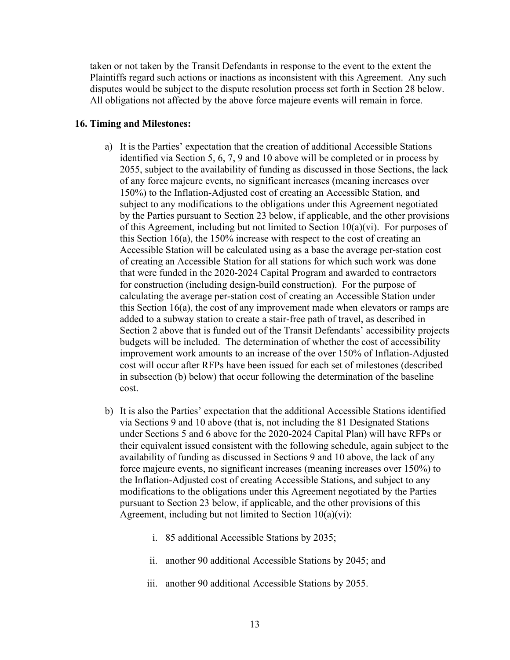taken or not taken by the Transit Defendants in response to the event to the extent the Plaintiffs regard such actions or inactions as inconsistent with this Agreement. Any such disputes would be subject to the dispute resolution process set forth in Section 28 below. All obligations not affected by the above force majeure events will remain in force.

#### **16. Timing and Milestones:**

- a) It is the Parties' expectation that the creation of additional Accessible Stations identified via Section 5, 6, 7, 9 and 10 above will be completed or in process by 2055, subject to the availability of funding as discussed in those Sections, the lack of any force majeure events, no significant increases (meaning increases over 150%) to the Inflation-Adjusted cost of creating an Accessible Station, and subject to any modifications to the obligations under this Agreement negotiated by the Parties pursuant to Section 23 below, if applicable, and the other provisions of this Agreement, including but not limited to Section  $10(a)(vi)$ . For purposes of this Section 16(a), the 150% increase with respect to the cost of creating an Accessible Station will be calculated using as a base the average per-station cost of creating an Accessible Station for all stations for which such work was done that were funded in the 2020-2024 Capital Program and awarded to contractors for construction (including design-build construction). For the purpose of calculating the average per-station cost of creating an Accessible Station under this Section 16(a), the cost of any improvement made when elevators or ramps are added to a subway station to create a stair-free path of travel, as described in Section 2 above that is funded out of the Transit Defendants' accessibility projects budgets will be included. The determination of whether the cost of accessibility improvement work amounts to an increase of the over 150% of Inflation-Adjusted cost will occur after RFPs have been issued for each set of milestones (described in subsection (b) below) that occur following the determination of the baseline cost.
- b) It is also the Parties' expectation that the additional Accessible Stations identified via Sections 9 and 10 above (that is, not including the 81 Designated Stations under Sections 5 and 6 above for the 2020-2024 Capital Plan) will have RFPs or their equivalent issued consistent with the following schedule, again subject to the availability of funding as discussed in Sections 9 and 10 above, the lack of any force majeure events, no significant increases (meaning increases over 150%) to the Inflation-Adjusted cost of creating Accessible Stations, and subject to any modifications to the obligations under this Agreement negotiated by the Parties pursuant to Section 23 below, if applicable, and the other provisions of this Agreement, including but not limited to Section 10(a)(vi):
	- i. 85 additional Accessible Stations by 2035;
	- ii. another 90 additional Accessible Stations by 2045; and
	- iii. another 90 additional Accessible Stations by 2055.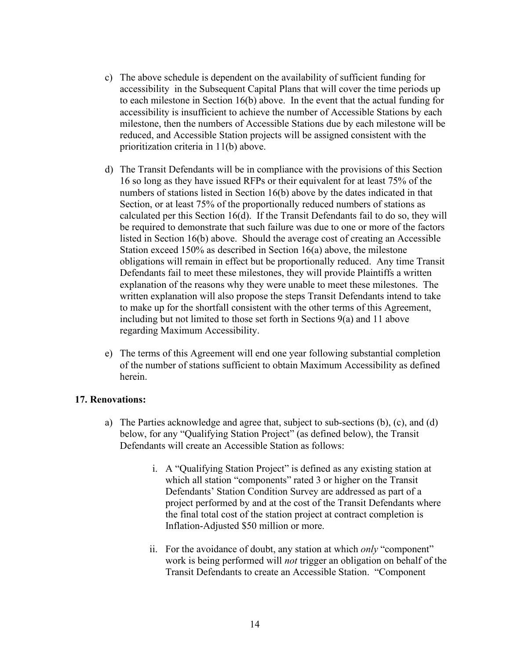- c) The above schedule is dependent on the availability of sufficient funding for accessibility in the Subsequent Capital Plans that will cover the time periods up to each milestone in Section 16(b) above. In the event that the actual funding for accessibility is insufficient to achieve the number of Accessible Stations by each milestone, then the numbers of Accessible Stations due by each milestone will be reduced, and Accessible Station projects will be assigned consistent with the prioritization criteria in 11(b) above.
- d) The Transit Defendants will be in compliance with the provisions of this Section 16 so long as they have issued RFPs or their equivalent for at least 75% of the numbers of stations listed in Section 16(b) above by the dates indicated in that Section, or at least 75% of the proportionally reduced numbers of stations as calculated per this Section 16(d). If the Transit Defendants fail to do so, they will be required to demonstrate that such failure was due to one or more of the factors listed in Section 16(b) above. Should the average cost of creating an Accessible Station exceed 150% as described in Section 16(a) above, the milestone obligations will remain in effect but be proportionally reduced. Any time Transit Defendants fail to meet these milestones, they will provide Plaintiffs a written explanation of the reasons why they were unable to meet these milestones. The written explanation will also propose the steps Transit Defendants intend to take to make up for the shortfall consistent with the other terms of this Agreement, including but not limited to those set forth in Sections 9(a) and 11 above regarding Maximum Accessibility.
- e) The terms of this Agreement will end one year following substantial completion of the number of stations sufficient to obtain Maximum Accessibility as defined herein.

# **17. Renovations:**

- a) The Parties acknowledge and agree that, subject to sub-sections (b), (c), and (d) below, for any "Qualifying Station Project" (as defined below), the Transit Defendants will create an Accessible Station as follows:
	- i. A "Qualifying Station Project" is defined as any existing station at which all station "components" rated 3 or higher on the Transit Defendants' Station Condition Survey are addressed as part of a project performed by and at the cost of the Transit Defendants where the final total cost of the station project at contract completion is Inflation-Adjusted \$50 million or more.
	- ii. For the avoidance of doubt, any station at which *only* "component" work is being performed will *not* trigger an obligation on behalf of the Transit Defendants to create an Accessible Station. "Component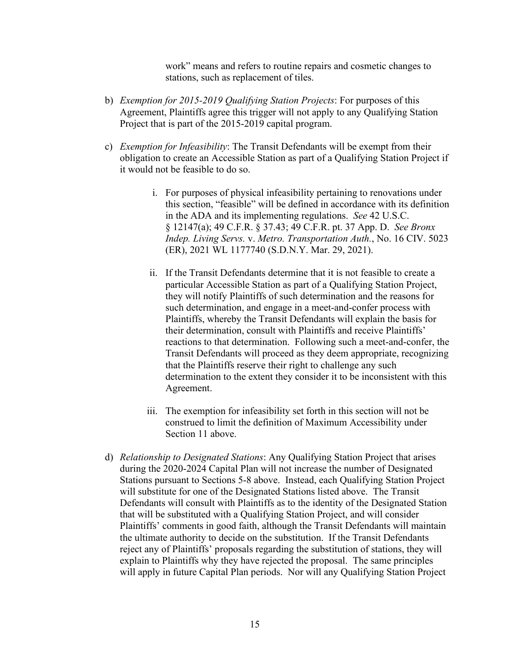work" means and refers to routine repairs and cosmetic changes to stations, such as replacement of tiles.

- b) *Exemption for 2015-2019 Qualifying Station Projects*: For purposes of this Agreement, Plaintiffs agree this trigger will not apply to any Qualifying Station Project that is part of the 2015-2019 capital program.
- c) *Exemption for Infeasibility*: The Transit Defendants will be exempt from their obligation to create an Accessible Station as part of a Qualifying Station Project if it would not be feasible to do so.
	- i. For purposes of physical infeasibility pertaining to renovations under this section, "feasible" will be defined in accordance with its definition in the ADA and its implementing regulations. *See* 42 U.S.C. § 12147(a); 49 C.F.R. § 37.43; 49 C.F.R. pt. 37 App. D. *See Bronx Indep. Living Servs.* v. *Metro. Transportation Auth.*, No. 16 CIV. 5023 (ER), 2021 WL 1177740 (S.D.N.Y. Mar. 29, 2021).
	- ii. If the Transit Defendants determine that it is not feasible to create a particular Accessible Station as part of a Qualifying Station Project, they will notify Plaintiffs of such determination and the reasons for such determination, and engage in a meet-and-confer process with Plaintiffs, whereby the Transit Defendants will explain the basis for their determination, consult with Plaintiffs and receive Plaintiffs' reactions to that determination. Following such a meet-and-confer, the Transit Defendants will proceed as they deem appropriate, recognizing that the Plaintiffs reserve their right to challenge any such determination to the extent they consider it to be inconsistent with this Agreement.
	- iii. The exemption for infeasibility set forth in this section will not be construed to limit the definition of Maximum Accessibility under Section 11 above.
- d) *Relationship to Designated Stations*: Any Qualifying Station Project that arises during the 2020-2024 Capital Plan will not increase the number of Designated Stations pursuant to Sections 5-8 above. Instead, each Qualifying Station Project will substitute for one of the Designated Stations listed above. The Transit Defendants will consult with Plaintiffs as to the identity of the Designated Station that will be substituted with a Qualifying Station Project, and will consider Plaintiffs' comments in good faith, although the Transit Defendants will maintain the ultimate authority to decide on the substitution. If the Transit Defendants reject any of Plaintiffs' proposals regarding the substitution of stations, they will explain to Plaintiffs why they have rejected the proposal. The same principles will apply in future Capital Plan periods. Nor will any Qualifying Station Project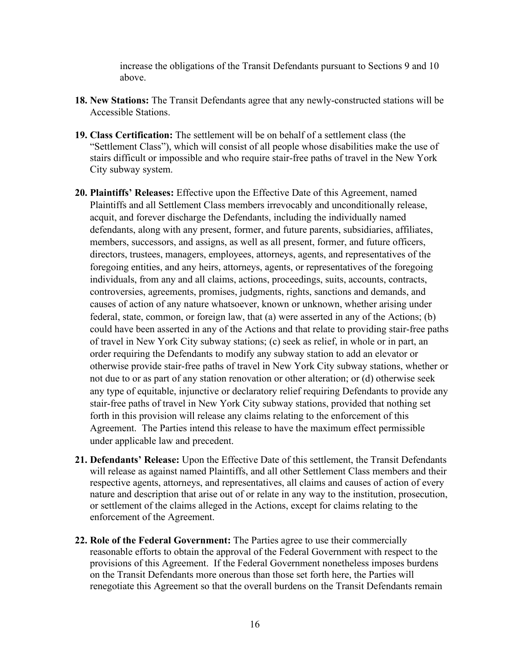increase the obligations of the Transit Defendants pursuant to Sections 9 and 10 above.

- **18. New Stations:** The Transit Defendants agree that any newly-constructed stations will be Accessible Stations.
- **19. Class Certification:** The settlement will be on behalf of a settlement class (the "Settlement Class"), which will consist of all people whose disabilities make the use of stairs difficult or impossible and who require stair-free paths of travel in the New York City subway system.
- **20. Plaintiffs' Releases:** Effective upon the Effective Date of this Agreement, named Plaintiffs and all Settlement Class members irrevocably and unconditionally release, acquit, and forever discharge the Defendants, including the individually named defendants, along with any present, former, and future parents, subsidiaries, affiliates, members, successors, and assigns, as well as all present, former, and future officers, directors, trustees, managers, employees, attorneys, agents, and representatives of the foregoing entities, and any heirs, attorneys, agents, or representatives of the foregoing individuals, from any and all claims, actions, proceedings, suits, accounts, contracts, controversies, agreements, promises, judgments, rights, sanctions and demands, and causes of action of any nature whatsoever, known or unknown, whether arising under federal, state, common, or foreign law, that (a) were asserted in any of the Actions; (b) could have been asserted in any of the Actions and that relate to providing stair-free paths of travel in New York City subway stations; (c) seek as relief, in whole or in part, an order requiring the Defendants to modify any subway station to add an elevator or otherwise provide stair-free paths of travel in New York City subway stations, whether or not due to or as part of any station renovation or other alteration; or (d) otherwise seek any type of equitable, injunctive or declaratory relief requiring Defendants to provide any stair-free paths of travel in New York City subway stations, provided that nothing set forth in this provision will release any claims relating to the enforcement of this Agreement. The Parties intend this release to have the maximum effect permissible under applicable law and precedent.
- **21. Defendants' Release:** Upon the Effective Date of this settlement, the Transit Defendants will release as against named Plaintiffs, and all other Settlement Class members and their respective agents, attorneys, and representatives, all claims and causes of action of every nature and description that arise out of or relate in any way to the institution, prosecution, or settlement of the claims alleged in the Actions, except for claims relating to the enforcement of the Agreement.
- **22. Role of the Federal Government:** The Parties agree to use their commercially reasonable efforts to obtain the approval of the Federal Government with respect to the provisions of this Agreement. If the Federal Government nonetheless imposes burdens on the Transit Defendants more onerous than those set forth here, the Parties will renegotiate this Agreement so that the overall burdens on the Transit Defendants remain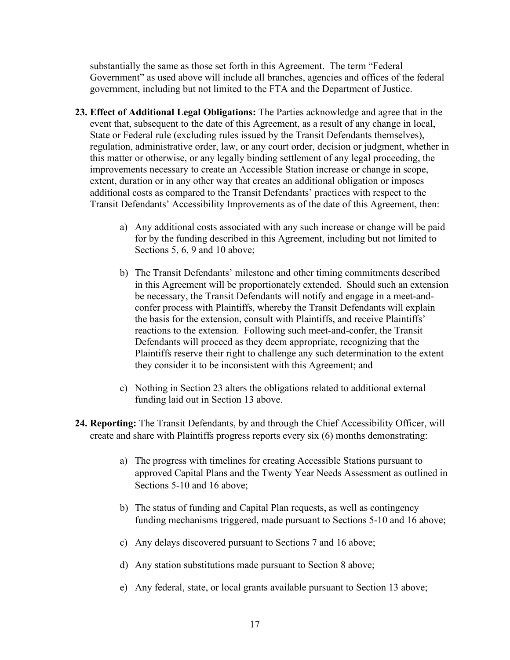substantially the same as those set forth in this Agreement. The term "Federal Government" as used above will include all branches, agencies and offices of the federal government, including but not limited to the FTA and the Department of Justice.

- **23. Effect of Additional Legal Obligations:** The Parties acknowledge and agree that in the event that, subsequent to the date of this Agreement, as a result of any change in local, State or Federal rule (excluding rules issued by the Transit Defendants themselves), regulation, administrative order, law, or any court order, decision or judgment, whether in this matter or otherwise, or any legally binding settlement of any legal proceeding, the improvements necessary to create an Accessible Station increase or change in scope, extent, duration or in any other way that creates an additional obligation or imposes additional costs as compared to the Transit Defendants' practices with respect to the Transit Defendants' Accessibility Improvements as of the date of this Agreement, then:
	- a) Any additional costs associated with any such increase or change will be paid for by the funding described in this Agreement, including but not limited to Sections 5, 6, 9 and 10 above;
	- b) The Transit Defendants' milestone and other timing commitments described in this Agreement will be proportionately extended. Should such an extension be necessary, the Transit Defendants will notify and engage in a meet-andconfer process with Plaintiffs, whereby the Transit Defendants will explain the basis for the extension, consult with Plaintiffs, and receive Plaintiffs' reactions to the extension. Following such meet-and-confer, the Transit Defendants will proceed as they deem appropriate, recognizing that the Plaintiffs reserve their right to challenge any such determination to the extent they consider it to be inconsistent with this Agreement; and
	- c) Nothing in Section 23 alters the obligations related to additional external funding laid out in Section 13 above.
- **24. Reporting:** The Transit Defendants, by and through the Chief Accessibility Officer, will create and share with Plaintiffs progress reports every six (6) months demonstrating:
	- a) The progress with timelines for creating Accessible Stations pursuant to approved Capital Plans and the Twenty Year Needs Assessment as outlined in Sections 5-10 and 16 above;
	- b) The status of funding and Capital Plan requests, as well as contingency funding mechanisms triggered, made pursuant to Sections 5-10 and 16 above;
	- c) Any delays discovered pursuant to Sections 7 and 16 above;
	- d) Any station substitutions made pursuant to Section 8 above;
	- e) Any federal, state, or local grants available pursuant to Section 13 above;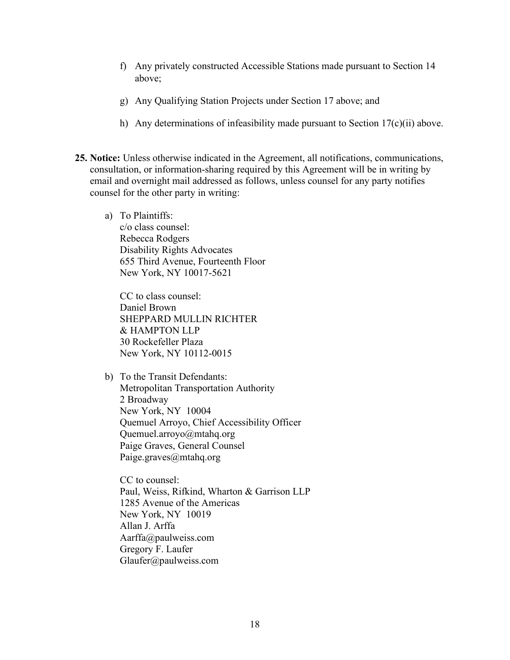- f) Any privately constructed Accessible Stations made pursuant to Section 14 above;
- g) Any Qualifying Station Projects under Section 17 above; and
- h) Any determinations of infeasibility made pursuant to Section 17(c)(ii) above.
- **25. Notice:** Unless otherwise indicated in the Agreement, all notifications, communications, consultation, or information-sharing required by this Agreement will be in writing by email and overnight mail addressed as follows, unless counsel for any party notifies counsel for the other party in writing:
	- a) To Plaintiffs: c/o class counsel: Rebecca Rodgers Disability Rights Advocates 655 Third Avenue, Fourteenth Floor New York, NY 10017-5621

CC to class counsel: Daniel Brown SHEPPARD MULLIN RICHTER & HAMPTON LLP 30 Rockefeller Plaza New York, NY 10112-0015

b) To the Transit Defendants: Metropolitan Transportation Authority 2 Broadway New York, NY 10004 Quemuel Arroyo, Chief Accessibility Officer Quemuel.arroyo@mtahq.org Paige Graves, General Counsel Paige.graves@mtahq.org

CC to counsel: Paul, Weiss, Rifkind, Wharton & Garrison LLP 1285 Avenue of the Americas New York, NY 10019 Allan J. Arffa Aarffa@paulweiss.com Gregory F. Laufer Glaufer@paulweiss.com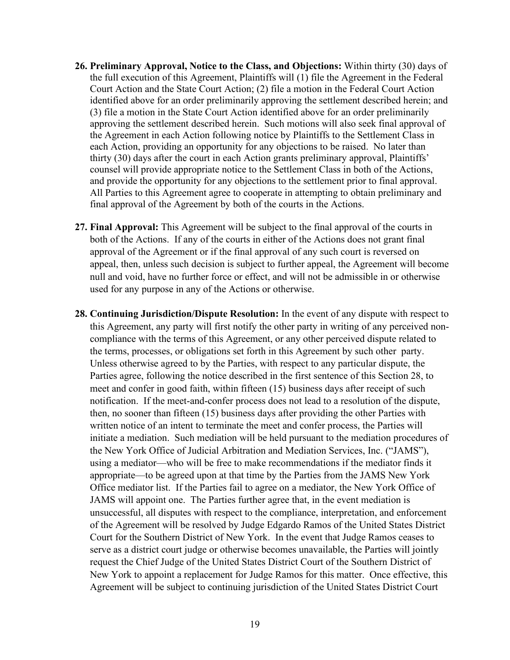- **26. Preliminary Approval, Notice to the Class, and Objections:** Within thirty (30) days of the full execution of this Agreement, Plaintiffs will (1) file the Agreement in the Federal Court Action and the State Court Action; (2) file a motion in the Federal Court Action identified above for an order preliminarily approving the settlement described herein; and (3) file a motion in the State Court Action identified above for an order preliminarily approving the settlement described herein. Such motions will also seek final approval of the Agreement in each Action following notice by Plaintiffs to the Settlement Class in each Action, providing an opportunity for any objections to be raised. No later than thirty (30) days after the court in each Action grants preliminary approval, Plaintiffs' counsel will provide appropriate notice to the Settlement Class in both of the Actions, and provide the opportunity for any objections to the settlement prior to final approval. All Parties to this Agreement agree to cooperate in attempting to obtain preliminary and final approval of the Agreement by both of the courts in the Actions.
- **27. Final Approval:** This Agreement will be subject to the final approval of the courts in both of the Actions. If any of the courts in either of the Actions does not grant final approval of the Agreement or if the final approval of any such court is reversed on appeal, then, unless such decision is subject to further appeal, the Agreement will become null and void, have no further force or effect, and will not be admissible in or otherwise used for any purpose in any of the Actions or otherwise.
- **28. Continuing Jurisdiction/Dispute Resolution:** In the event of any dispute with respect to this Agreement, any party will first notify the other party in writing of any perceived noncompliance with the terms of this Agreement, or any other perceived dispute related to the terms, processes, or obligations set forth in this Agreement by such other party. Unless otherwise agreed to by the Parties, with respect to any particular dispute, the Parties agree, following the notice described in the first sentence of this Section 28, to meet and confer in good faith, within fifteen (15) business days after receipt of such notification. If the meet-and-confer process does not lead to a resolution of the dispute, then, no sooner than fifteen (15) business days after providing the other Parties with written notice of an intent to terminate the meet and confer process, the Parties will initiate a mediation. Such mediation will be held pursuant to the mediation procedures of the New York Office of Judicial Arbitration and Mediation Services, Inc. ("JAMS"), using a mediator—who will be free to make recommendations if the mediator finds it appropriate—to be agreed upon at that time by the Parties from the JAMS New York Office mediator list. If the Parties fail to agree on a mediator, the New York Office of JAMS will appoint one. The Parties further agree that, in the event mediation is unsuccessful, all disputes with respect to the compliance, interpretation, and enforcement of the Agreement will be resolved by Judge Edgardo Ramos of the United States District Court for the Southern District of New York. In the event that Judge Ramos ceases to serve as a district court judge or otherwise becomes unavailable, the Parties will jointly request the Chief Judge of the United States District Court of the Southern District of New York to appoint a replacement for Judge Ramos for this matter. Once effective, this Agreement will be subject to continuing jurisdiction of the United States District Court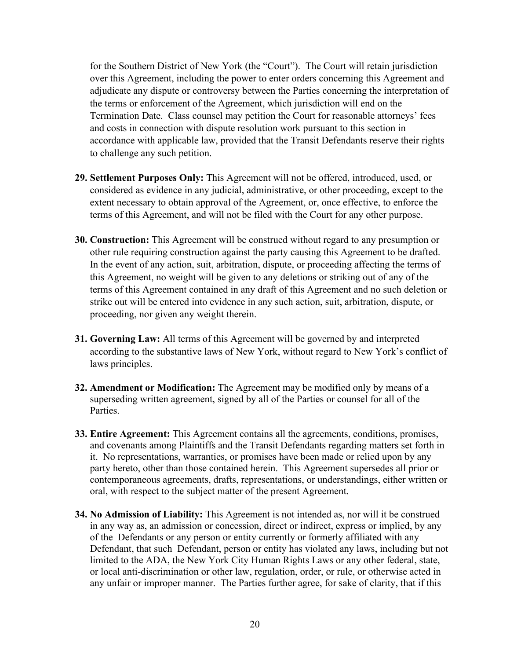for the Southern District of New York (the "Court"). The Court will retain jurisdiction over this Agreement, including the power to enter orders concerning this Agreement and adjudicate any dispute or controversy between the Parties concerning the interpretation of the terms or enforcement of the Agreement, which jurisdiction will end on the Termination Date. Class counsel may petition the Court for reasonable attorneys' fees and costs in connection with dispute resolution work pursuant to this section in accordance with applicable law, provided that the Transit Defendants reserve their rights to challenge any such petition.

- **29. Settlement Purposes Only:** This Agreement will not be offered, introduced, used, or considered as evidence in any judicial, administrative, or other proceeding, except to the extent necessary to obtain approval of the Agreement, or, once effective, to enforce the terms of this Agreement, and will not be filed with the Court for any other purpose.
- **30. Construction:** This Agreement will be construed without regard to any presumption or other rule requiring construction against the party causing this Agreement to be drafted. In the event of any action, suit, arbitration, dispute, or proceeding affecting the terms of this Agreement, no weight will be given to any deletions or striking out of any of the terms of this Agreement contained in any draft of this Agreement and no such deletion or strike out will be entered into evidence in any such action, suit, arbitration, dispute, or proceeding, nor given any weight therein.
- **31. Governing Law:** All terms of this Agreement will be governed by and interpreted according to the substantive laws of New York, without regard to New York's conflict of laws principles.
- **32. Amendment or Modification:** The Agreement may be modified only by means of a superseding written agreement, signed by all of the Parties or counsel for all of the Parties.
- **33. Entire Agreement:** This Agreement contains all the agreements, conditions, promises, and covenants among Plaintiffs and the Transit Defendants regarding matters set forth in it. No representations, warranties, or promises have been made or relied upon by any party hereto, other than those contained herein. This Agreement supersedes all prior or contemporaneous agreements, drafts, representations, or understandings, either written or oral, with respect to the subject matter of the present Agreement.
- **34. No Admission of Liability:** This Agreement is not intended as, nor will it be construed in any way as, an admission or concession, direct or indirect, express or implied, by any of the Defendants or any person or entity currently or formerly affiliated with any Defendant, that such Defendant, person or entity has violated any laws, including but not limited to the ADA, the New York City Human Rights Laws or any other federal, state, or local anti-discrimination or other law, regulation, order, or rule, or otherwise acted in any unfair or improper manner. The Parties further agree, for sake of clarity, that if this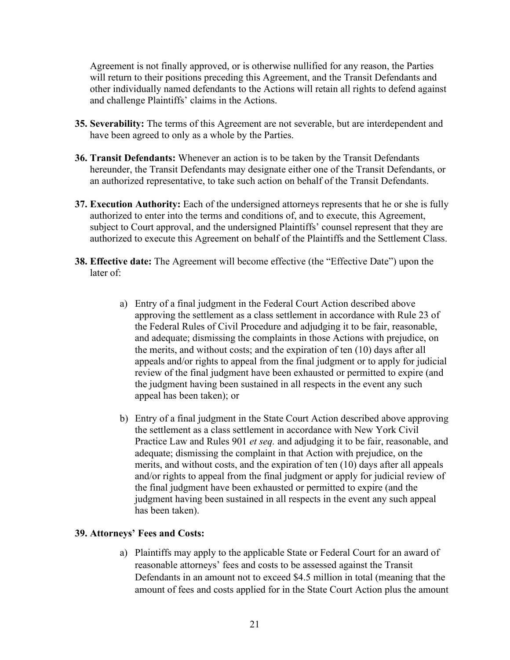Agreement is not finally approved, or is otherwise nullified for any reason, the Parties will return to their positions preceding this Agreement, and the Transit Defendants and other individually named defendants to the Actions will retain all rights to defend against and challenge Plaintiffs' claims in the Actions.

- **35. Severability:** The terms of this Agreement are not severable, but are interdependent and have been agreed to only as a whole by the Parties.
- **36. Transit Defendants:** Whenever an action is to be taken by the Transit Defendants hereunder, the Transit Defendants may designate either one of the Transit Defendants, or an authorized representative, to take such action on behalf of the Transit Defendants.
- **37. Execution Authority:** Each of the undersigned attorneys represents that he or she is fully authorized to enter into the terms and conditions of, and to execute, this Agreement, subject to Court approval, and the undersigned Plaintiffs' counsel represent that they are authorized to execute this Agreement on behalf of the Plaintiffs and the Settlement Class.
- **38. Effective date:** The Agreement will become effective (the "Effective Date") upon the later of:
	- a) Entry of a final judgment in the Federal Court Action described above approving the settlement as a class settlement in accordance with Rule 23 of the Federal Rules of Civil Procedure and adjudging it to be fair, reasonable, and adequate; dismissing the complaints in those Actions with prejudice, on the merits, and without costs; and the expiration of ten (10) days after all appeals and/or rights to appeal from the final judgment or to apply for judicial review of the final judgment have been exhausted or permitted to expire (and the judgment having been sustained in all respects in the event any such appeal has been taken); or
	- b) Entry of a final judgment in the State Court Action described above approving the settlement as a class settlement in accordance with New York Civil Practice Law and Rules 901 *et seq.* and adjudging it to be fair, reasonable, and adequate; dismissing the complaint in that Action with prejudice, on the merits, and without costs, and the expiration of ten (10) days after all appeals and/or rights to appeal from the final judgment or apply for judicial review of the final judgment have been exhausted or permitted to expire (and the judgment having been sustained in all respects in the event any such appeal has been taken).

# **39. Attorneys' Fees and Costs:**

a) Plaintiffs may apply to the applicable State or Federal Court for an award of reasonable attorneys' fees and costs to be assessed against the Transit Defendants in an amount not to exceed \$4.5 million in total (meaning that the amount of fees and costs applied for in the State Court Action plus the amount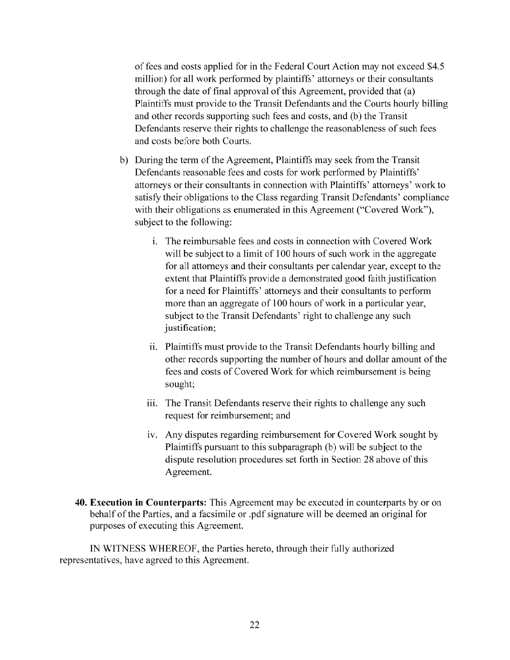of fees and costs applied for in the Federal Court Action may not exceed \$4.5 million) for a11 work performed by plaintiffs' attorneys or their consultants through the date of final approval of this Agreement, provided that (a) Plaintiffs must provide to the Transit Defendants and the Courts hourly billing and other records supporting such fees and costs, and (b) the Transit Defendants reserve their rights to challenge the reasonableness of such fees and costs before both Courts.

- b) During the term of the Agreement, Plaintiffs may seek from the Transit Defendants reasonable fees and costs for work performed by Plaintiffs' attorneys or their consultants in connection with Plaintiffs' attorneys' work to satisfy their obligations to the Class regarding Transit Defendants' compliance with their obligations as enumerated in this Agreement ("Covered Work"), subject to the following:
	- i. The reimbursable fees and costs in connection with Covered Work will be subject to a limit of 100 hours of such work in the aggregate for all attorneys and their consultants per calendar year, except to the extent that Plaintiffs provide a demonstrated good faith justification for a need for Plaintiffs' attorneys and their consultants to perform more than an aggregate of 100 hours of work in a particular year, subject to the Transit Defendants' right to challenge any such justification;
	- ii. Plaintiffs must provide to the Transit Defendants hourly billing and other records supporting the number of hours and dollar amount of the fees and costs of Covered Work for which reimbursement is being sought;
	- iii. The Transit Defendants reserve their rights to challenge any such request for reimbursement; and
	- iv. Any disputes regarding reimbursement for Covered Work sought by Plaintiffs pursuant to this subparagraph (b) will be subject to the dispute resolution procedures set forth in Section 28 above of this Agreement.
- **40. Execution in Counterparts:** This Agreement may be executed in counterparts by or on behalf of the Parties, and a facsimile or .pdf signature wi11 be deemed an original for purposes of executing this Agreement.

IN WITNESS WHEREOF, the Parties hereto, through their fully authorized representatives, have agreed to this Agreement.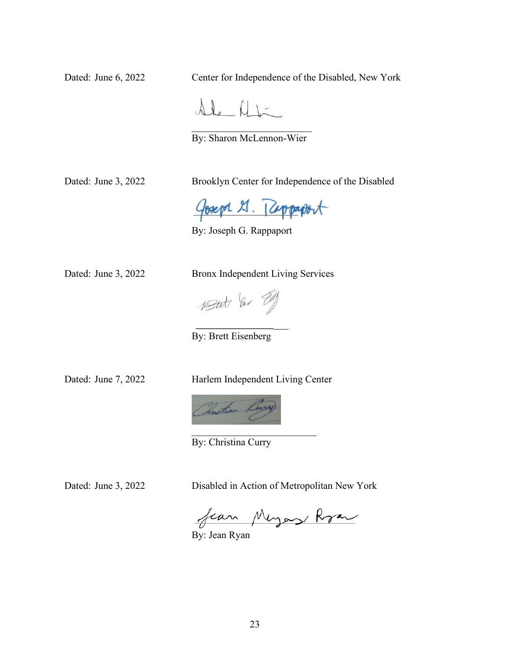Dated: June 6, 2022 Center for Independence of the Disabled, New York

 $\Delta L$   $\Delta L$ 

By: Sharon McLennon-Wier

Dated: June 3, 2022 Brooklyn Center for Independence of the Disabled

Goseph 21. Ruppaport

By: Joseph G. Rappaport

Dated: June 3, 2022 Bronx Independent Living Services

Vetat las El

 $\frac{1}{2}$  ,  $\frac{1}{2}$  ,  $\frac{1}{2}$  ,  $\frac{1}{2}$  ,  $\frac{1}{2}$  ,  $\frac{1}{2}$  ,  $\frac{1}{2}$  ,  $\frac{1}{2}$  ,  $\frac{1}{2}$  ,  $\frac{1}{2}$  ,  $\frac{1}{2}$  ,  $\frac{1}{2}$  ,  $\frac{1}{2}$  ,  $\frac{1}{2}$  ,  $\frac{1}{2}$  ,  $\frac{1}{2}$  ,  $\frac{1}{2}$  ,  $\frac{1}{2}$  ,  $\frac{1$ 

By: Brett Eisenberg

Dated: June 7, 2022 Harlem Independent Living Center



By: Christina Curry

Dated: June 3, 2022 Disabled in Action of Metropolitan New York

fear Meyor Roar

By: Jean Ryan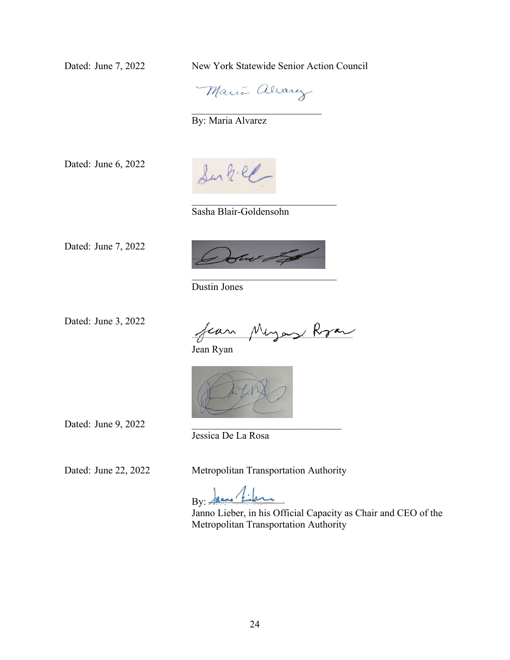Dated: June 7, 2022 New York Statewide Senior Action Council



\_\_\_\_\_\_\_\_\_\_\_\_\_\_\_\_\_\_\_\_\_\_\_\_\_\_

By: Maria Alvarez

Dated: June 6, 2022

Sur h.el

Sasha Blair-Goldensohn

Dated: June 7, 2022



Dustin Jones

Dated: June 3, 2022

fear Meyer Rran

Jean Ryan



Dated: June 9, 2022

Jessica De La Rosa

Dated: June 22, 2022 Metropolitan Transportation Authority

By:  $\frac{1}{4}$ 

Janno Lieber, in his Official Capacity as Chair and CEO of the Metropolitan Transportation Authority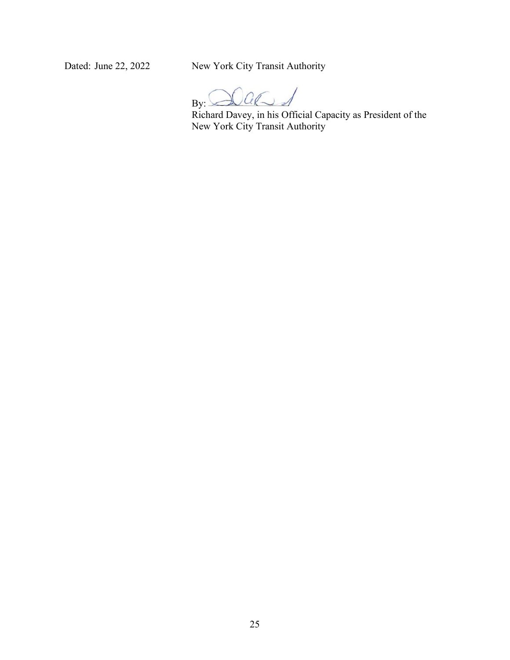Dated: June 22, 2022 New York City Transit Authority

 $\Omega$ al  $By:$ 

Richard Davey, in his Official Capacity as President of the New York City Transit Authority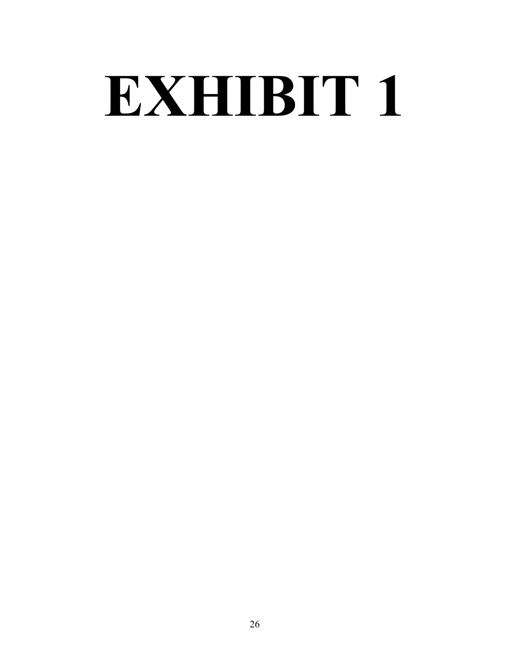# **EXHIBIT 1**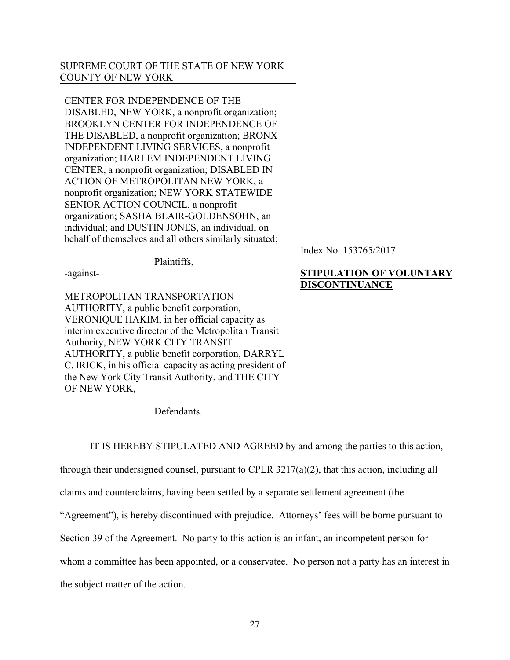## SUPREME COURT OF THE STATE OF NEW YORK COUNTY OF NEW YORK

CENTER FOR INDEPENDENCE OF THE DISABLED, NEW YORK, a nonprofit organization; BROOKLYN CENTER FOR INDEPENDENCE OF THE DISABLED, a nonprofit organization; BRONX INDEPENDENT LIVING SERVICES, a nonprofit organization; HARLEM INDEPENDENT LIVING CENTER, a nonprofit organization; DISABLED IN ACTION OF METROPOLITAN NEW YORK, a nonprofit organization; NEW YORK STATEWIDE SENIOR ACTION COUNCIL, a nonprofit organization; SASHA BLAIR-GOLDENSOHN, an individual; and DUSTIN JONES, an individual, on behalf of themselves and all others similarly situated;

Plaintiffs,

-against-

METROPOLITAN TRANSPORTATION AUTHORITY, a public benefit corporation, VERONIQUE HAKIM, in her official capacity as interim executive director of the Metropolitan Transit Authority, NEW YORK CITY TRANSIT AUTHORITY, a public benefit corporation, DARRYL C. IRICK, in his official capacity as acting president of the New York City Transit Authority, and THE CITY OF NEW YORK,

Defendants.

Index No. 153765/2017

# **STIPULATION OF VOLUNTARY DISCONTINUANCE**

IT IS HEREBY STIPULATED AND AGREED by and among the parties to this action,

through their undersigned counsel, pursuant to CPLR 3217(a)(2), that this action, including all

claims and counterclaims, having been settled by a separate settlement agreement (the

"Agreement"), is hereby discontinued with prejudice. Attorneys' fees will be borne pursuant to

Section 39 of the Agreement. No party to this action is an infant, an incompetent person for

whom a committee has been appointed, or a conservatee. No person not a party has an interest in

the subject matter of the action.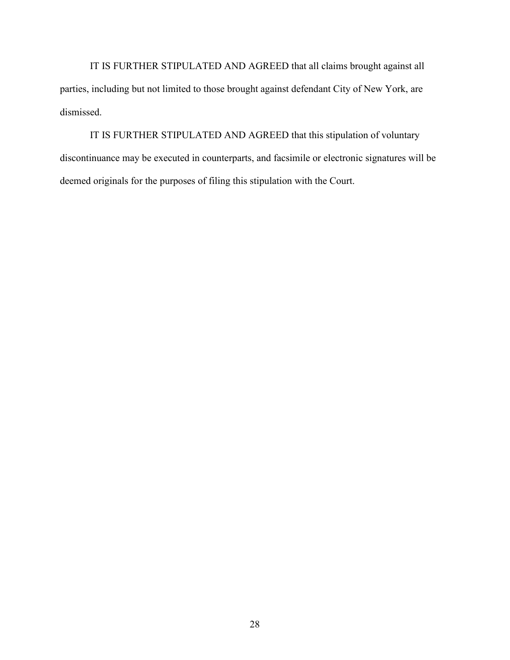IT IS FURTHER STIPULATED AND AGREED that all claims brought against all parties, including but not limited to those brought against defendant City of New York, are dismissed.

IT IS FURTHER STIPULATED AND AGREED that this stipulation of voluntary discontinuance may be executed in counterparts, and facsimile or electronic signatures will be deemed originals for the purposes of filing this stipulation with the Court.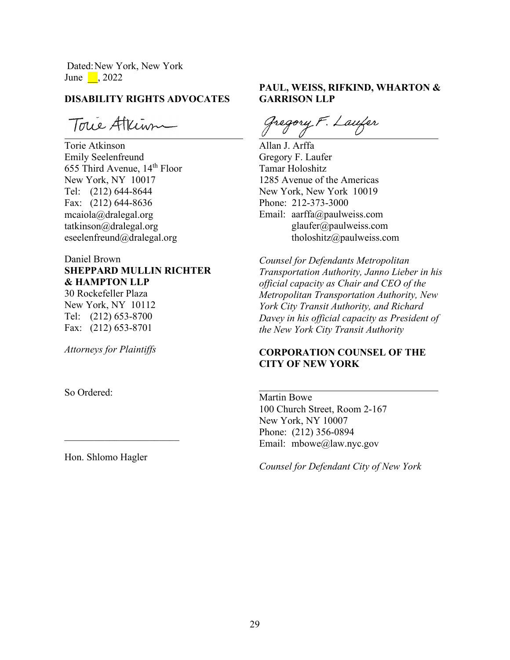Dated:New York, New York June  $\Box$ , 2022

### **DISABILITY RIGHTS ADVOCATES**

Toue Atkinn

Torie Atkinson Emily Seelenfreund 655 Third Avenue, 14th Floor New York, NY 10017 Tel: (212) 644-8644 Fax: (212) 644-8636 mcaiola@dralegal.org tatkinson@dralegal.org eseelenfreund@dralegal.org

# Daniel Brown **SHEPPARD MULLIN RICHTER & HAMPTON LLP**

30 Rockefeller Plaza New York, NY 10112 Tel: (212) 653-8700 Fax: (212) 653-8701

*Attorneys for Plaintiffs*

So Ordered:

Hon. Shlomo Hagler

\_\_\_\_\_\_\_\_\_\_\_\_\_\_\_\_\_\_\_\_\_\_\_

# **PAUL, WEISS, RIFKIND, WHARTON & GARRISON LLP**

Gregory F. Laufer

Allan J. Arffa Gregory F. Laufer Tamar Holoshitz 1285 Avenue of the Americas New York, New York 10019 Phone: 212-373-3000 Email: aarffa@paulweiss.com glaufer@paulweiss.com tholoshitz@paulweiss.com

*Counsel for Defendants Metropolitan Transportation Authority, Janno Lieber in his official capacity as Chair and CEO of the Metropolitan Transportation Authority, New York City Transit Authority, and Richard Davey in his official capacity as President of the New York City Transit Authority* 

# **CORPORATION COUNSEL OF THE CITY OF NEW YORK**

Martin Bowe 100 Church Street, Room 2-167 New York, NY 10007 Phone: (212) 356-0894 Email: mbowe@law.nyc.gov

*Counsel for Defendant City of New York*

 $\overline{a}$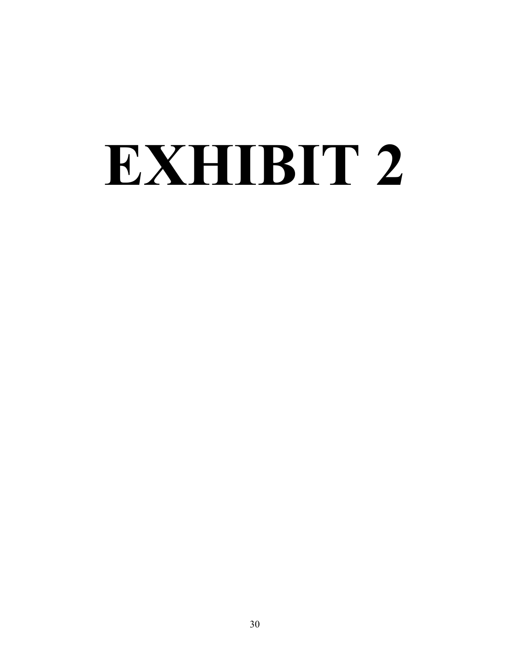# **EXHIBIT 2**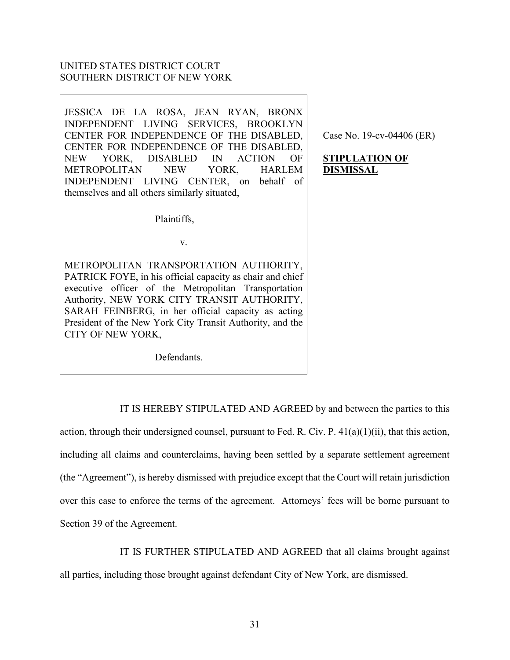# UNITED STATES DISTRICT COURT SOUTHERN DISTRICT OF NEW YORK

JESSICA DE LA ROSA, JEAN RYAN, BRONX INDEPENDENT LIVING SERVICES, BROOKLYN CENTER FOR INDEPENDENCE OF THE DISABLED, CENTER FOR INDEPENDENCE OF THE DISABLED, NEW YORK, DISABLED IN ACTION OF METROPOLITAN NEW YORK, HARLEM INDEPENDENT LIVING CENTER, on behalf of themselves and all others similarly situated,

Case No. 19-cv-04406 (ER)

# **STIPULATION OF DISMISSAL**

v.

Plaintiffs,

METROPOLITAN TRANSPORTATION AUTHORITY, PATRICK FOYE, in his official capacity as chair and chief executive officer of the Metropolitan Transportation Authority, NEW YORK CITY TRANSIT AUTHORITY, SARAH FEINBERG, in her official capacity as acting President of the New York City Transit Authority, and the CITY OF NEW YORK,

Defendants.

IT IS HEREBY STIPULATED AND AGREED by and between the parties to this

action, through their undersigned counsel, pursuant to Fed. R. Civ. P.  $41(a)(1)(ii)$ , that this action, including all claims and counterclaims, having been settled by a separate settlement agreement (the "Agreement"), is hereby dismissed with prejudice except that the Court will retain jurisdiction over this case to enforce the terms of the agreement. Attorneys' fees will be borne pursuant to Section 39 of the Agreement.

IT IS FURTHER STIPULATED AND AGREED that all claims brought against

all parties, including those brought against defendant City of New York, are dismissed.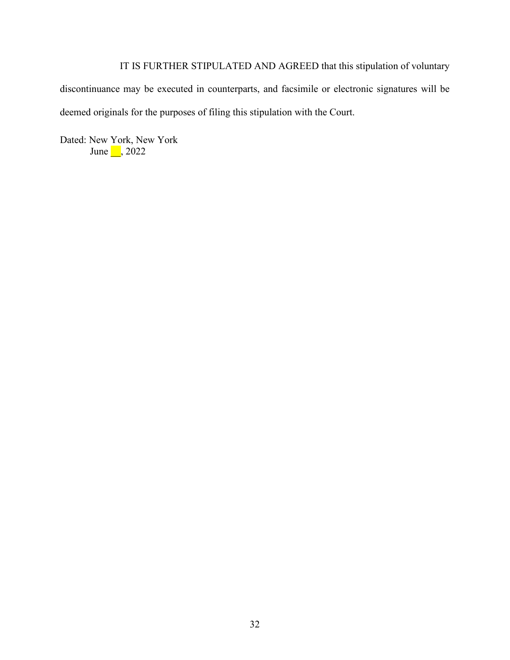IT IS FURTHER STIPULATED AND AGREED that this stipulation of voluntary discontinuance may be executed in counterparts, and facsimile or electronic signatures will be deemed originals for the purposes of filing this stipulation with the Court.

Dated: New York, New York June 1, 2022